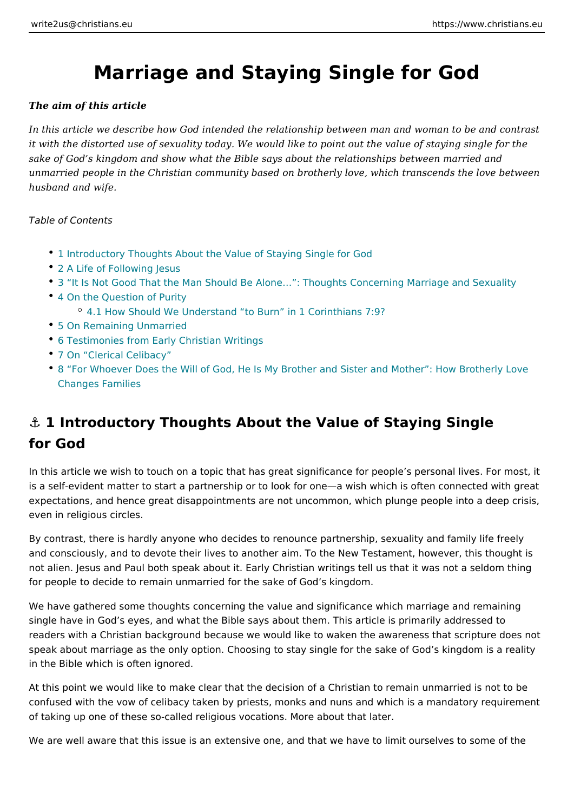# Marriage and Staying Single for God

The aim of this article

In this article we describe how God intended the relationship between man and w it with the distorted use of sexuality today. We would like to point out the value sake of God s kingdom and show what the Bible says about the relationships bet unmarried people in the Christian community based on brotherly love, which tran husband and wife.

Table of Contents

- 1 Introductory Thoughts About the Value of Staying Single for God
- [2 A Life of Followi](#page-1-0)ng Jesus
- <sup>.</sup> 3 It Is Not Good That the Man Should Be Alone &: Thoughts Concerning Mar
- [4 On the Question](#page-5-0) of Purity
	- [4.1 How Should We Understand to Burn in](#page-6-0) 1 Corinthians 7:9?
- [5 On Remaining Un](#page-8-0)married
- [6 Testimonies from Early Chris](#page-11-0)tian Writings
- [7 On Clerical Ce](#page-12-0)libacy
- . [8 For Whoever Does the Will of God, He Is My Brother and Sister and](#page-12-0) Mother [Changes Fam](#page-12-0)ilies

## &" 1 Introductory Thoughts About the Value of Staying Single for God

In this article we wish to touch on a topic that has great significance for people is a self-evident matter to start a partnership or to look for one a wish which is expectations, and hence great disappointments are not uncommon, which plunge even in religious circles.

By contrast, there is hardly anyone who decides to renounce partnership, sexual and consciously, and to devote their lives to another aim. To the New Testament not alien. Jesus and Paul both speak about it. Early Christian writings tell us th for people to decide to remain unmarried for the sake of God s kingdom.

We have gathered some thoughts concerning the value and significance which ma single have in God s eyes, and what the Bible says about them. This article is p readers with a Christian background because we would like to waken the awarene speak about marriage as the only option. Choosing to stay single for the sake of in the Bible which is often ignored.

At this point we would like to make clear that the decision of a Christian to rema confused with the vow of celibacy taken by priests, monks and nuns and which is of taking up one of these so-called religious vocations. More about that later.

We are well aware that this issue is an extensive one, and that we have to limit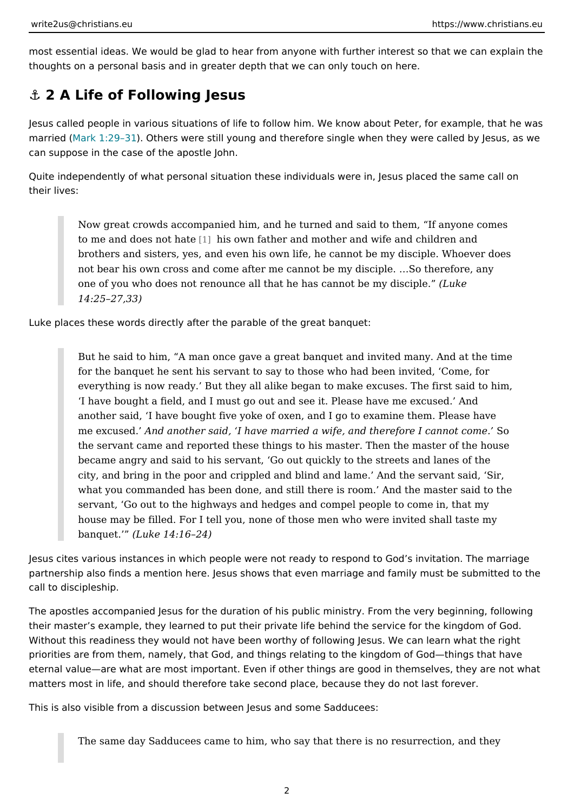<span id="page-1-0"></span>most essential ideas. We would be glad to hear from anyone with further interest thoughts on a personal basis and in greater depth that we can only touch on her

#### &" 2 A Life of Following Jesus

Jesus called people in various situations of life to follow him. We know about Pe married ( Ark 1:29) 3 Others were still young and therefore single when they were c can suppose in the case of the apostle John.

Quite independently of what personal situation these individuals were in, Jesus their lives:

Now great crowds accompanied him, and he turned and said to them, If to me and does noth hat be own father and mother and wife and children an brothers and sisters, yes, and even his own life, he cannot be my discip not bear his own cross and come after me cannot be my disciple. & So the one of you who does not renounce all that he has can book ebe my disciple 14:25 27,33)

Luke places these words directly after the parable of the great banquet:

But he said to him, A man once gave a great banquet and invited many. for the banquet he sent his servant to say to those who had been invite everything is now ready. But they all alike began to make excuses. The I have bought a field, and I must go out and see it. Please have me exert another said, I have bought five yoke of oxen, and I go to examine the me excuse and another said, I have married a wife, and thereforme I cannot come. the servant came and reported these things to his master. Then the mas became angry and said to his servant,  $G$ o out quickly to the streets and city, and bring in the poor and crippled and blind and lame. And the se what you commanded has been done, and still there is room. And the m servant, Go out to the highways and hedges and compel people to come house may be filled. For I tell you, none of those men who were invited  $b$ anquet $(L$ uke 14:16 24)

Jesus cites various instances in which people were not ready to respond to God partnership also finds a mention here. Jesus shows that even marriage and famil call to discipleship.

The apostles accompanied Jesus for the duration of his public ministry. From the their master s example, they learned to put their private life behind the service Without this readiness they would not have been worthy of following Jesus. We c priorities are from them, namely, that God, and things relating to the kingdom of eternal value are what are most important. Even if other things are good in them matters most in life, and should therefore take second place, because they do no

This is also visible from a discussion between Jesus and some Sadducees:

The same day Sadducees came to him, who say that there is no resurred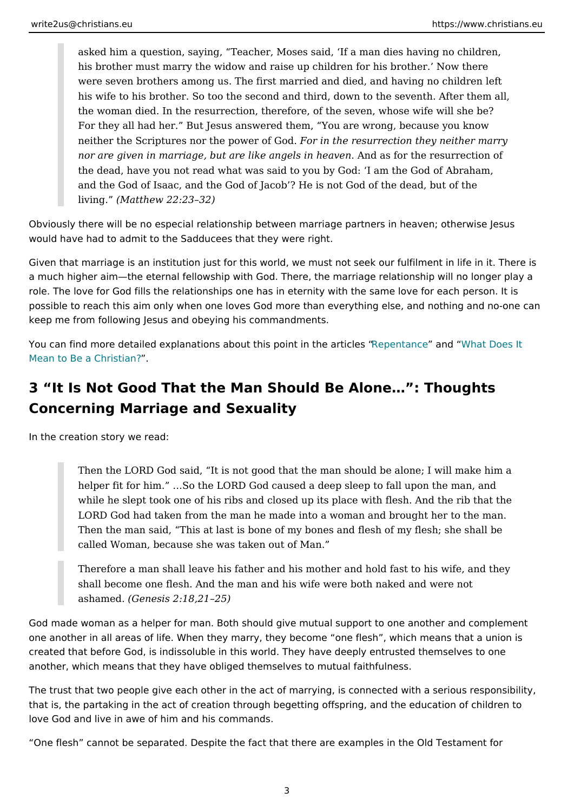asked him a question, saying, Teacher, Moses said, If a man dies having his brother must marry the widow and raise up children for his brother. were seven brothers among us. The first married and died, and having no his wife to his brother. So too the second and third, down to the sevent the woman died. In the resurrection, therefore, of the seven, whose wife For they all had her. But Jesus answered them, You are wrong, becaus neither the Scriptures nor the powerinit Godesurrection they neither mar nor are given in marriage, but are like an<sup>2</sup>gred saisn floe at when resurrection of the dead, have you not read what was said to you by God: I am the God and the God of Isaac, and the God of Jacob ? He is not God of the dead living (Matthew 22:23 32)

Obviously there will be no especial relationship between marriage partners in he would have had to admit to the Sadducees that they were right.

Given that marriage is an institution just for this world, we must not seek our fu a much higher aim the eternal fellowship with God. There, the marriage relations role. The love for God fills the relationships one has in eternity with the same Iq possible to reach this aim only when one loves God more than everything else, a keep me from following Jesus and obeying his commandments.

You can find more detailed explanations about this Recopient tian the bedan his Roles It [Mean to Be a Ch](https://christians.eu/what-does-it-mean-to-be-a-christian/)ristian?

3 It Is Not Good That the Man Should Be Alone &: Thoughts Concerning Marriage and Sexuality

In the creation story we read:

Then the LORD God said, It is not good that the man should be alone; helper fit for him.  $&$ So the LORD God caused a deep sleep to fall upon while he slept took one of his ribs and closed up its place with flesh. A LORD God had taken from the man he made into a woman and brought here to the man. Then the man said, This at last is bone of my bones and flesh of my fle called Woman, because she was taken out of Man.

Therefore a man shall leave his father and his mother and hold fast to his shall become one flesh. And the man and his wife were both naked and  $a shame\ddot{\theta}Genesis$  2:18,21 25)

God made woman as a helper for man. Both should give mutual support to one ar one another in all areas of life. When they marry, they become one flesh, whic created that before God, is indissoluble in this world. They have deeply entruste another, which means that they have obliged themselves to mutual faithfulness.

The trust that two people give each other in the act of marrying, is connected wi that is, the partaking in the act of creation through begetting offspring, and the love God and live in awe of him and his commands.

One flesh cannot be separated. Despite the fact that there are examples in the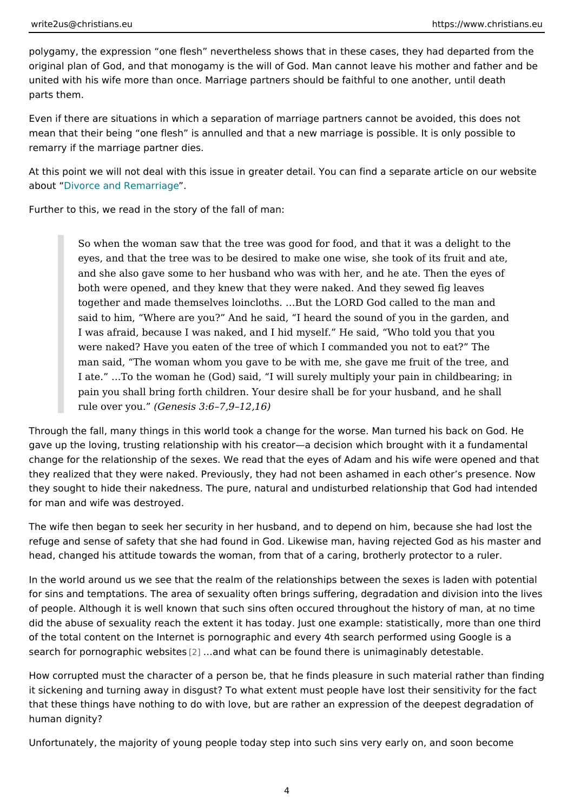polygamy, the expression one flesh nevertheless shows that in these cases, the original plan of God, and that monogamy is the will of God. Man cannot leave his united with his wife more than once. Marriage partners should be faithful to one parts them.

Even if there are situations in which a separation of marriage partners cannot be mean that their being one flesh is annulled and that a new marriage is possible remarry if the marriage partner dies.

At this point we will not deal with this issue in greater detail. You can find a se about [Divorce and Rem](https://christians.eu/divorce-remarriage-bible/)arriage

Further to this, we read in the story of the fall of man:

So when the woman saw that the tree was good for food, and that it was eyes, and that the tree was to be desired to make one wise, she took of and she also gave some to her husband who was with her, and he ate. T both were opened, and they knew that they were naked. And they sewed together and made themselves loincloths. &But the LORD God called to said to him, Where are you? And he said, I heard the sound of you in I was afraid, because I was naked, and I hid myself. He said, Who told were naked? Have you eaten of the tree of which I commanded you not t man said, The woman whom you gave to be with me, she gave me fruit I ate. & To the woman he (God) said, I will surely multiply your pain in pain you shall bring forth children. Your desire shall be for your husbar rule over  $y_{0}$ Genesis 3:6 7,9 12,16)

Through the fall, many things in this world took a change for the worse. Man tur gave up the loving, trusting relationship with his creator a decision which broug change for the relationship of the sexes. We read that the eyes of Adam and his they realized that they were naked. Previously, they had not been ashamed in ea they sought to hide their nakedness. The pure, natural and undisturbed relations for man and wife was destroyed.

The wife then began to seek her security in her husband, and to depend on him, refuge and sense of safety that she had found in God. Likewise man, having reje head, changed his attitude towards the woman, from that of a caring, brotherly p

In the world around us we see that the realm of the relationships between the se for sins and temptations. The area of sexuality often brings suffering, degradati of people. Although it is well known that such sins often occured throughout the did the abuse of sexuality reach the extent it has today. Just one example: stati of the total content on the Internet is pornographic and every 4th search perform search for pornographic  $\frac{2}{4}$  & asid e shat can be found there is unimaginably detestable

How corrupted must the character of a person be, that he finds pleasure in such it sickening and turning away in disgust? To what extent must people have lost t that these things have nothing to do with love, but are rather an expression of t human dignity?

Unfortunately, the majority of young people today step into such sins very early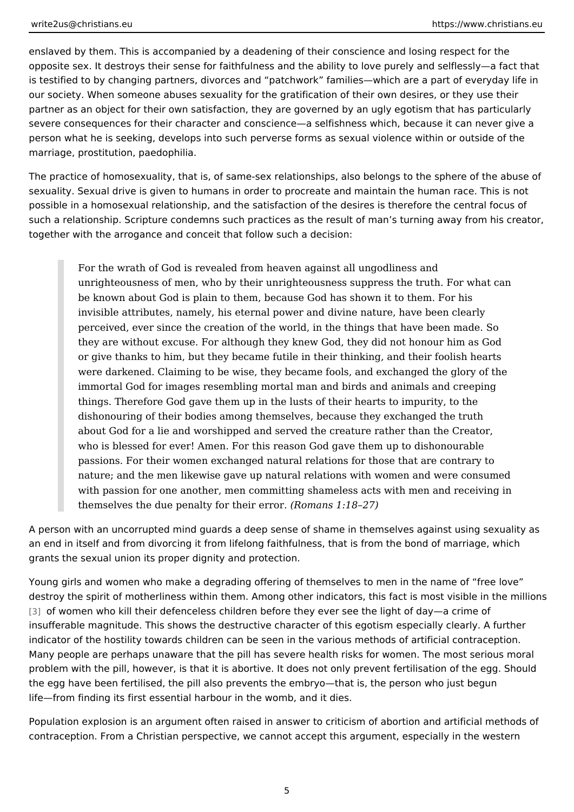enslaved by them. This is accompanied by a deadening of their conscience and I opposite sex. It destroys their sense for faithfulness and the ability to love pure is testified to by changing partners, divorces and patchwork families which are our society. When someone abuses sexuality for the gratification of their own de partner as an object for their own satisfaction, they are governed by an ugly ego severe consequences for their character and conscience a selfishness which, be person what he is seeking, develops into such perverse forms as sexual violence marriage, prostitution, paedophilia.

The practice of homosexuality, that is, of same-sex relationships, also belongs t sexuality. Sexual drive is given to humans in order to procreate and maintain the possible in a homosexual relationship, and the satisfaction of the desires is the such a relationship. Scripture condemns such practices as the result of man s tu together with the arrogance and conceit that follow such a decision:

For the wrath of God is revealed from heaven against all ungodliness ar unrighteousness of men, who by their unrighteousness suppress the trut be known about God is plain to them, because God has shown it to them invisible attributes, namely, his eternal power and divine nature, have b perceived, ever since the creation of the world, in the things that have they are without excuse. For although they knew God, they did not hono or give thanks to him, but they became futile in their thinking, and thei were darkened. Claiming to be wise, they became fools, and exchanged immortal God for images resembling mortal man and birds and animals a things. Therefore God gave them up in the lusts of their hearts to impur dishonouring of their bodies among themselves, because they exchanged about God for a lie and worshipped and served the creature rather than who is blessed for ever! Amen. For this reason God gave them up to dis passions. For their women exchanged natural relations for those that are nature; and the men likewise gave up natural relations with women and with passion for one another, men committing shameless acts with men themselves the due penalty for  $($ Rhoemina esrdr. 18 27)

A person with an uncorrupted mind guards a deep sense of shame in themselves an end in itself and from divorcing it from lifelong faithfulness, that is from the grants the sexual union its proper dignity and protection.

Young girls and women who make a degrading offering of themselves to men in t destroy the spirit of motherliness within them. Among other indicators, this [fac](#page-15-0)t [3] of women who kill their defenceless children before they ever see the light of insufferable magnitude. This shows the destructive character of this egotism esp indicator of the hostility towards children can be seen in the various methods of Many people are perhaps unaware that the pill has severe health risks for women. problem with the pill, however, is that it is abortive. It does not only prevent fer the egg have been fertilised, the pill also prevents the embryo that is, the perso life from finding its first essential harbour in the womb, and it dies.

Population explosion is an argument often raised in answer to criticism of aborti contraception. From a Christian perspective, we cannot accept this argument, es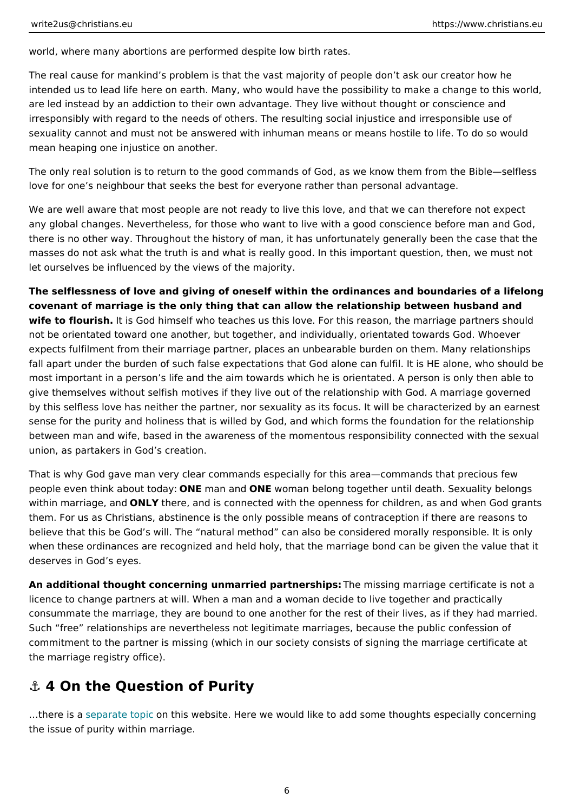<span id="page-5-0"></span>world, where many abortions are performed despite low birth rates.

The real cause for mankind s problem is that the vast majority of people don t a intended us to lead life here on earth. Many, who would have the possibility to n are led instead by an addiction to their own advantage. They live without though irresponsibly with regard to the needs of others. The resulting social injustice a sexuality cannot and must not be answered with inhuman means or means hostile mean heaping one injustice on another.

The only real solution is to return to the good commands of God, as we know the love for one s neighbour that seeks the best for everyone rather than personal a

We are well aware that most people are not ready to live this love, and that we o any global changes. Nevertheless, for those who want to live with a good consci there is no other way. Throughout the history of man, it has unfortunately gener masses do not ask what the truth is and what is really good. In this important qu let ourselves be influenced by the views of the majority.

The selflessness of love and giving of oneself within the ordinances and boundary covenant of marriage is the only thing that can allow the relationship between he wife to flourish is God himself who teaches us this love. For this reason, the ma not be orientated toward one another, but together, and individually, orientated expects fulfilment from their marriage partner, places an unbearable burden on t fall apart under the burden of such false expectations that God alone can fulfil. most important in a person s life and the aim towards which he is orientated. A person is only the able to the give themselves without selfish motives if they live out of the relationship with  $\theta$ by this selfless love has neither the partner, nor sexuality as its focus. It will b sense for the purity and holiness that is willed by God, and which forms the four between man and wife, based in the awareness of the momentous responsibility of union, as partakers in God s creation.

That is why God gave man very clear commands especially for this area command people even think abo $\Omega$ Nt bothayn: an $\Omega$ N Ewoman belong together until death. Sexualit within marriage Q Nala Mothere, and is connected with the openness for children, as a them. For us as Christians, abstinence is the only possible means of contracepti believe that this be God s will. The natural method can also be considered mor when these ordinances are recognized and held holy, that the marriage bond can deserves in God s eyes.

An additional thought concerning unmarried parthershispsing marriage certificate i licence to change partners at will. When a man and a woman decide to live toget consummate the marriage, they are bound to one another for the rest of their liv Such free relationships are nevertheless not legitimate marriages, because the commitment to the partner is missing (which in our society consists of signing th the marriage registry office).

#### &" 4 On the Question of Purity

& there is a parate to pricthis website. Here we would like to add some thoughts esp the issue of purity within marriage.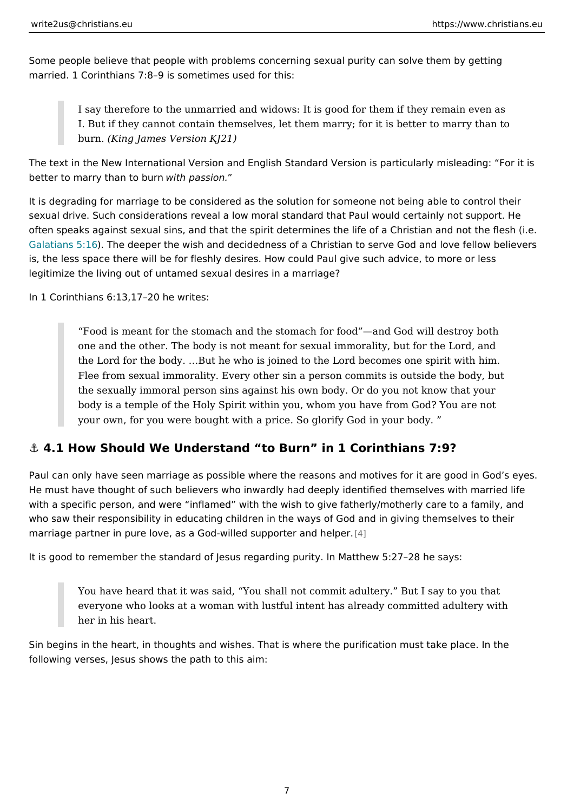<span id="page-6-0"></span>Some people believe that people with problems concerning sexual purity can solv married. 1 Corinthians 7:8 9 is sometimes used for this:

I say therefore to the unmarried and widows: It is good for them if they I. But if they cannot contain themselves, let them marry; for it is better burn(King James Version KJ21)

The text in the New International Version and English Standard Version is partic better to marry than width upranssion.

It is degrading for marriage to be considered as the solution for someone not be sexual drive. Such considerations reveal a low moral standard that Paul would c often speaks against sexual sins, and that the spirit determines the life of a Chr Galatians  $\overline{b}$ . The deeper the wish and decidedness of a Christian to serve God ard is, the less space there will be for fleshly desires. How could Paul give such ad legitimize the living out of untamed sexual desires in a marriage?

In 1 Corinthians 6:13,17 20 he writes:

Food is meant for the stomach and the stomach for food and God will destroy one and the other. The body is not meant for sexual immorality, but for the Lord for the body. & But he who is joined to the Lord becomes one spirit here Flee from sexual immorality. Every other sin a person commits is outsid the sexually immoral person sins against his own body. Or do you not ke body is a temple of the Holy Spirit within you, whom you have from God your own, for you were bought with a price. So glorify God in your body.

&" 4.1 How Should We Understand to Burn in 1 Corinthians 7:9?

Paul can only have seen marriage as possible where the reasons and motives for He must have thought of such believers who inwardly had deeply identified them with a specific person, and were inflamed with the wish to give fatherly/mother who saw their responsibility in educating children in the ways of God and in givi marriage partner in pure love, as a God-willed [sup](#page-15-0)porter and helper.

It is good to remember the standard of Jesus regarding purity. In Matthew 5:27 28

You have heard that it was said, You shall not commit adultery. But I everyone who looks at a woman with lustful intent has already committe her in his heart.

Sin begins in the heart, in thoughts and wishes. That is where the purification m following verses, Jesus shows the path to this aim: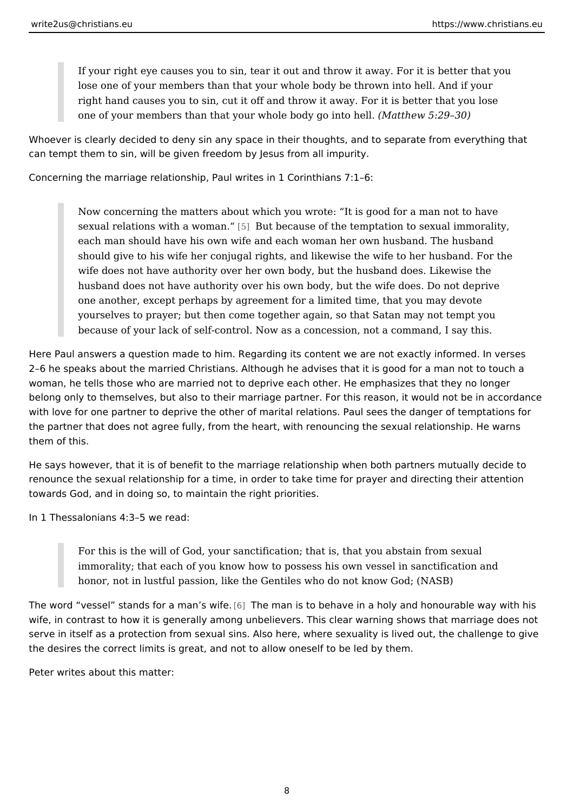If your right eye causes you to sin, tear it out and throw it away. For it lose one of your members than that your whole body be thrown into hell right hand causes you to sin, cut it off and throw it away. For it is better one of your members than that your whole b(oMd of the into  $2n9e130$ )

Whoever is clearly decided to deny sin any space in their thoughts, and to separ can tempt them to sin, will be given freedom by Jesus from all impurity.

Concerning the marriage relationship, Paul writes in 1 Corinthians 7:1 6:

Now concerning the matters about which you wrote: It is good for a man sexual relations with a MoBhuth because of the temptation to sexual immo each man should have his own wife and each woman her own husband. The husband should give to his wife her conjugal rights, and likewise the wife to her wife does not have authority over her own body, but the husband does. husband does not have authority over his own body, but the wife does. one another, except perhaps by agreement for a limited time, that you n yourselves to prayer; but then come together again, so that Satan may no because of your lack of self-control. Now as a concession, not a comma

Here Paul answers a question made to him. Regarding its content we are not exa 2 6 he speaks about the married Christians. Although he advises that it is good woman, he tells those who are married not to deprive each other. He emphasizes belong only to themselves, but also to their marriage partner. For this reason, it with love for one partner to deprive the other of marital relations. Paul sees the the partner that does not agree fully, from the heart, with renouncing the sexual them of this.

He says however, that it is of benefit to the marriage relationship when both par renounce the sexual relationship for a time, in order to take time for prayer and towards God, and in doing so, to maintain the right priorities.

In 1 Thessalonians 4:3 5 we read:

For this is the will of God, your sanctification; that is, that you abstain immorality; that each of you know how to possess his own vessel in san honor, not in lustful passion, like the Gentiles who do not know God; (N

The word vessel stands for a  $\beta$  man  $\alpha$  man is to behave in a holy and honourable wife, in contrast to how it is generally among unbelievers. This clear warning sh serve in itself as a protection from sexual sins. Also here, where sexuality is liv the desires the correct limits is great, and not to allow oneself to be led by ther

Peter writes about this matter: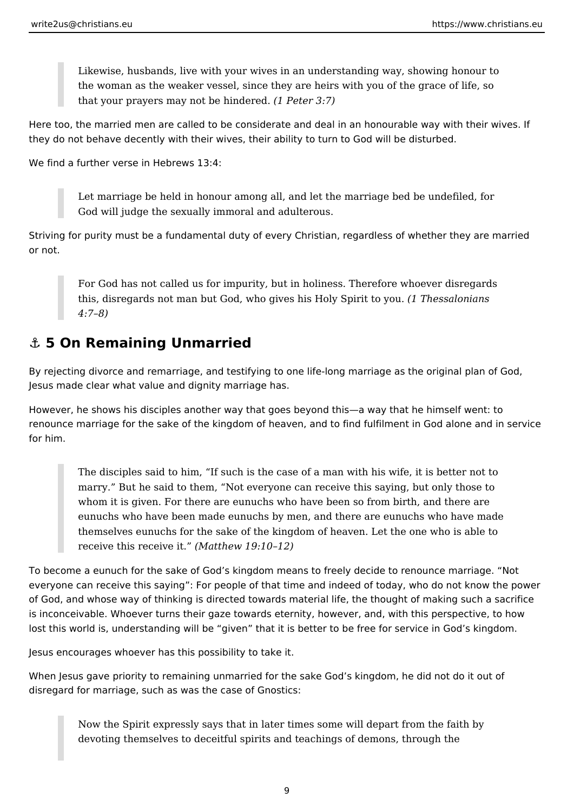<span id="page-8-0"></span>Likewise, husbands, live with your wives in an understanding way, showing honour to the woman as the weaker vessel, since they are heirs with you of the grace of life, so that your prayers may not be hindered. *(1 Peter 3:7)*

Here too, the married men are called to be considerate and deal in an honourable way with their wives. If they do not behave decently with their wives, their ability to turn to God will be disturbed.

We find a further verse in Hebrews 13:4:

Let marriage be held in honour among all, and let the marriage bed be undefiled, for God will judge the sexually immoral and adulterous.

Striving for purity must be a fundamental duty of every Christian, regardless of whether they are married or not.

For God has not called us for impurity, but in holiness. Therefore whoever disregards this, disregards not man but God, who gives his Holy Spirit to you. *(1 Thessalonians 4:7–8)*

### **⚓ 5 On Remaining Unmarried**

By rejecting divorce and remarriage, and testifying to one life-long marriage as the original plan of God, Jesus made clear what value and dignity marriage has.

However, he shows his disciples another way that goes beyond this—a way that he himself went: to renounce marriage for the sake of the kingdom of heaven, and to find fulfilment in God alone and in service for him.

The disciples said to him, "If such is the case of a man with his wife, it is better not to marry." But he said to them, "Not everyone can receive this saying, but only those to whom it is given. For there are eunuchs who have been so from birth, and there are eunuchs who have been made eunuchs by men, and there are eunuchs who have made themselves eunuchs for the sake of the kingdom of heaven. Let the one who is able to receive this receive it." *(Matthew 19:10–12)*

To become a eunuch for the sake of God's kingdom means to freely decide to renounce marriage. "Not everyone can receive this saying": For people of that time and indeed of today, who do not know the power of God, and whose way of thinking is directed towards material life, the thought of making such a sacrifice is inconceivable. Whoever turns their gaze towards eternity, however, and, with this perspective, to how lost this world is, understanding will be "given" that it is better to be free for service in God's kingdom.

Jesus encourages whoever has this possibility to take it.

When Jesus gave priority to remaining unmarried for the sake God's kingdom, he did not do it out of disregard for marriage, such as was the case of Gnostics:

Now the Spirit expressly says that in later times some will depart from the faith by devoting themselves to deceitful spirits and teachings of demons, through the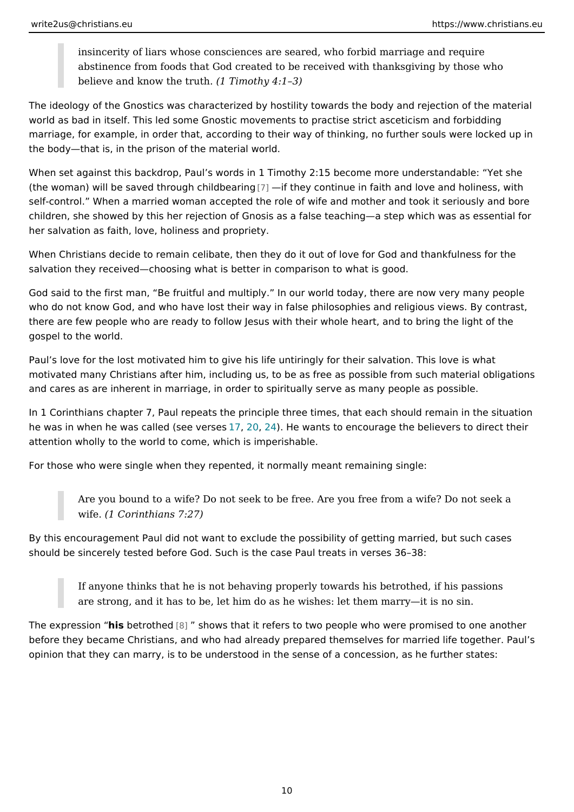insincerity of liars whose consciences are seared, who forbid marriage abstinence from foods that God created to be received with thanksgiving believe and know the 1tr Tuit th othy  $4:1$  3)

The ideology of the Gnostics was characterized by hostility towards the body and world as bad in itself. This led some Gnostic movements to practise strict asceti marriage, for example, in order that, according to their way of thinking, no furth the body that is, in the prison of the material world.

When set against this backdrop, Paul s words in 1 Timothy 2:15 become more un (the woman) will be saved through  $\bar{p}$  hif dbearing tinue in faith and love and holine self-control. When a married woman accepted the role of wife and mother and to children, she showed by this her rejection of Gnosis as a false teaching a step v her salvation as faith, love, holiness and propriety.

When Christians decide to remain celibate, then they do it out of love for God and salvation they received choosing what is better in comparison to what is good.

God said to the first man, Be fruitful and multiply. In our world today, there ar who do not know God, and who have lost their way in false philosophies and reli there are few people who are ready to follow Jesus with their whole heart, and t gospel to the world.

Paul s love for the lost motivated him to give his life untiringly for their salvation. motivated many Christians after him, including us, to be as free as possible fron and cares as are inherent in marriage, in order to spiritually serve as many peop

In 1 Corinthians chapter 7, Paul repeats the principle three times, that each sho he was in when he was called 1( $\frac{20}{3}$ ,  $\frac{20}{9}$  rs  $\frac{1}{2}$ , wants to encourage the believers to direct to direct their their their their their their their their their their their their their their their their thei attention wholly to the world to come, which is imperishable.

For those who were single when they repented, it normally meant remaining sing

Are you bound to a wife? Do not seek to be free. Are you free from a wi wife(1 Corinthians 7:27)

By this encouragement Paul did not want to exclude the possibility of getting ma should be sincerely tested before God. Such is the case Paul treats in verses 36

If anyone thinks that he is not behaving properly towards his betrothed, are strong, and it has to be, let him do as he wishes: let them marry it

The expresshos abetrot[hed](#page-15-0) shows that it refers to two people who were promised t before they became Christians, and who had already prepared themselves for ma opinion that they can marry, is to be understood in the sense of a concession, a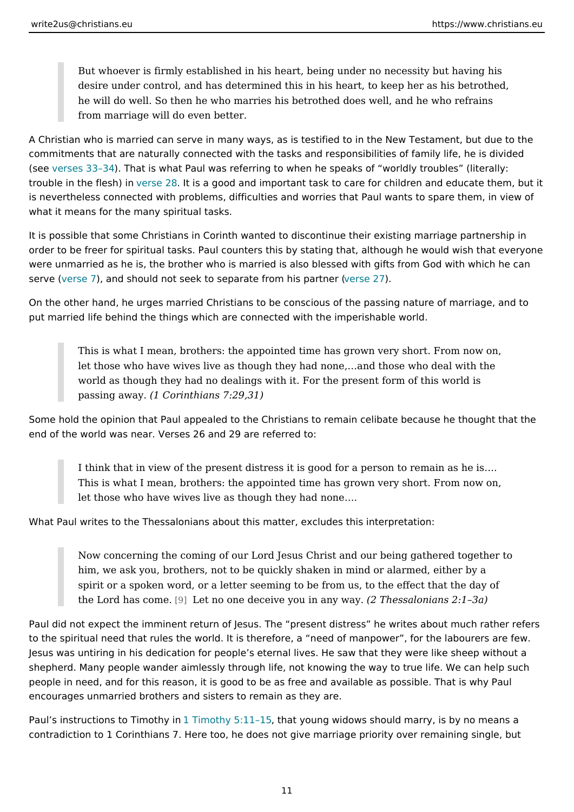But whoever is firmly established in his heart, being under no necessity desire under control, and has determined this in his heart, to keep her he will do well. So then he who marries his betrothed does well, and he from marriage will do even better.

A Christian who is married can serve in many ways, as is testified to in the New commitments that are naturally connected with the tasks and responsibilities of (see erses 33).  $34$  hat is what Paul was referring to when he speaks of worldly tro trouble in the flesh ) ein 28t is a good and important task to care for children and e is nevertheless connected with problems, difficulties and worries that Paul want what it means for the many spiritual tasks.

It is possible that some Christians in Corinth wanted to discontinue their existin order to be freer for spiritual tasks. Paul counters this by stating that, although were unmarried as he is, the brother who is married is also blessed with gifts from serve ( ise ), and should not seek to separate from the sp. partner (

On the other hand, he urges married Christians to be conscious of the passing n put married life behind the things which are connected with the imperishable wor

This is what I mean, brothers: the appointed time has grown very short. let those who have wives live as though they had none, & and those who world as though they had no dealings with it. For the present form of th passing aw(aly Corinthians 7:29,31)

Some hold the opinion that Paul appealed to the Christians to remain celibate be end of the world was near. Verses 26 and 29 are referred to:

I think that in view of the present distress it is good for a person to rer This is what I mean, brothers: the appointed time has grown very short. let those who have wives live as though they had none &.

What Paul writes to the Thessalonians about this matter, excludes this interpret

Now concerning the coming of our Lord Jesus Christ and our being gath him, we ask you, brothers, not to be quickly shaken in mind or alarmed, spirit or a spoken word, or a letter seeming to be from us, to the effect the Lord has [com](#page-15-0)bet no one deceive you in  $2a$  The example and  $2:1$  3a)

Paul did not expect the imminent return of Jesus. The present distress he write to the spiritual need that rules the world. It is therefore, a need of manpower, Jesus was untiring in his dedication for people s eternal lives. He saw that they shepherd. Many people wander aimlessly through life, not knowing the way to tru people in need, and for this reason, it is good to be as free and available as pos encourages unmarried brothers and sisters to remain as they are.

Paul s instructions to Tim Tothay thin 5:1,1 th at young widows should marry, is by no m contradiction to 1 Corinthians 7. Here too, he does not give marriage priority ov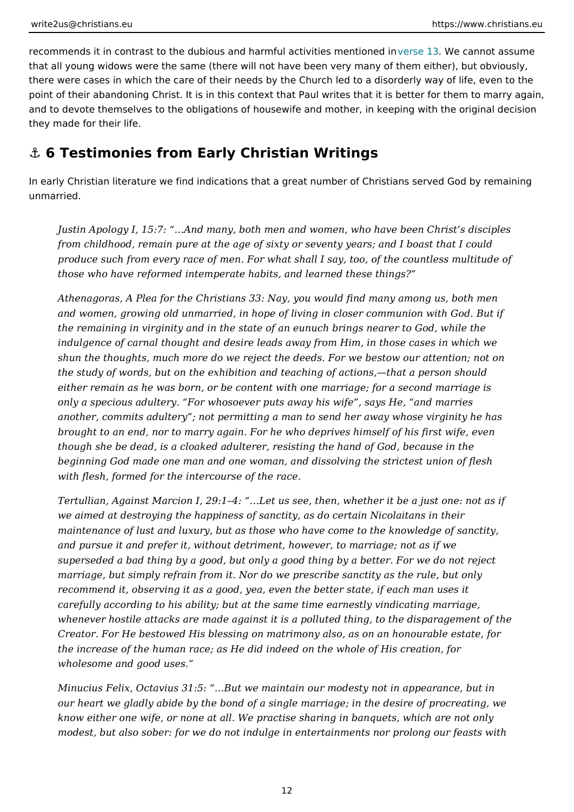<span id="page-11-0"></span>recommends it in contrast to the dubious and harmful activities mentioned in verse 13. We cannot assume that all young widows were the same (there will not have been very many of them either), but obviously, there were cases in which the care of their needs by the Church led to a disorderly way of life, even to the point of their abandoning Christ. It is in this context that Paul writes that it is better for them to marry again, and to devote themselves to the obligations of housewife and mother, in keeping with the original decision they made for their life.

## **⚓ 6 Testimonies from Early Christian Writings**

In early Christian literature we find indications that a great number of Christians served God by remaining unmarried.

*Justin Apology I, 15:7: "…And many, both men and women, who have been Christ's disciples from childhood, remain pure at the age of sixty or seventy years; and I boast that I could produce such from every race of men. For what shall I say, too, of the countless multitude of those who have reformed intemperate habits, and learned these things?"*

*Athenagoras, A Plea for the Christians 33: Nay, you would find many among us, both men and women, growing old unmarried, in hope of living in closer communion with God. But if the remaining in virginity and in the state of an eunuch brings nearer to God, while the indulgence of carnal thought and desire leads away from Him, in those cases in which we shun the thoughts, much more do we reject the deeds. For we bestow our attention; not on the study of words, but on the exhibition and teaching of actions,—that a person should either remain as he was born, or be content with one marriage; for a second marriage is only a specious adultery. "For whosoever puts away his wife", says He, "and marries another, commits adultery"; not permitting a man to send her away whose virginity he has brought to an end, nor to marry again. For he who deprives himself of his first wife, even though she be dead, is a cloaked adulterer, resisting the hand of God, because in the beginning God made one man and one woman, and dissolving the strictest union of flesh with flesh, formed for the intercourse of the race.*

*Tertullian, Against Marcion I, 29:1–4: "…Let us see, then, whether it be a just one: not as if we aimed at destroying the happiness of sanctity, as do certain Nicolaitans in their maintenance of lust and luxury, but as those who have come to the knowledge of sanctity, and pursue it and prefer it, without detriment, however, to marriage; not as if we superseded a bad thing by a good, but only a good thing by a better. For we do not reject marriage, but simply refrain from it. Nor do we prescribe sanctity as the rule, but only recommend it, observing it as a good, yea, even the better state, if each man uses it carefully according to his ability; but at the same time earnestly vindicating marriage, whenever hostile attacks are made against it is a polluted thing, to the disparagement of the Creator. For He bestowed His blessing on matrimony also, as on an honourable estate, for the increase of the human race; as He did indeed on the whole of His creation, for wholesome and good uses."*

*Minucius Felix, Octavius 31:5: "…But we maintain our modesty not in appearance, but in our heart we gladly abide by the bond of a single marriage; in the desire of procreating, we know either one wife, or none at all. We practise sharing in banquets, which are not only modest, but also sober: for we do not indulge in entertainments nor prolong our feasts with*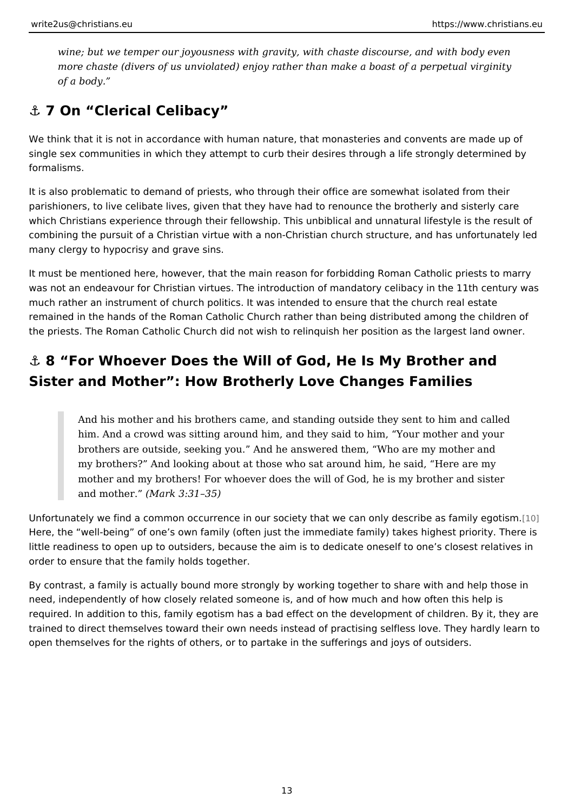<span id="page-12-0"></span>wine; but we temper our joyousness with gravity, with chaste discourse, ar more chaste (divers of us unviolated) enjoy rather than make a boast of a of a body.

### &" 7 On Clerical Celibacy

We think that it is not in accordance with human nature, that monasteries and co single sex communities in which they attempt to curb their desires through a life formalisms.

It is also problematic to demand of priests, who through their office are somewh parishioners, to live celibate lives, given that they have had to renounce the bro which Christians experience through their fellowship. This unbiblical and unnatu combining the pursuit of a Christian virtue with a non-Christian church structure many clergy to hypocrisy and grave sins.

It must be mentioned here, however, that the main reason for forbidding Roman was not an endeavour for Christian virtues. The introduction of mandatory celiba much rather an instrument of church politics. It was intended to ensure that the remained in the hands of the Roman Catholic Church rather than being distribute the priests. The Roman Catholic Church did not wish to relinquish her position a

## $8$  " 8 For Whoever Does the Will of God, He Is My Brothe Sister and Mother : How Brotherly Love Changes Familie

And his mother and his brothers came, and standing outside they sent t him. And a crowd was sitting around him, and they said to him, Your mo brothers are outside, seeking you. And he answered them, Who are my my brothers? And looking about at those who sat around him, he said, mother and my brothers! For whoever does the will of God, he is my bro and mothe $(rMark 3:31 35)$ 

Unfortunately we find a common occurrence in our society that we can o[nly](#page-15-0) odesc Here, the well-being of one s own family (often just the immediate family) take little readiness to open up to outsiders, because the aim is to dedicate oneself to order to ensure that the family holds together.

By contrast, a family is actually bound more strongly by working together to sha need, independently of how closely related someone is, and of how much and how required. In addition to this, family egotism has a bad effect on the development trained to direct themselves toward their own needs instead of practising selfles open themselves for the rights of others, or to partake in the sufferings and joys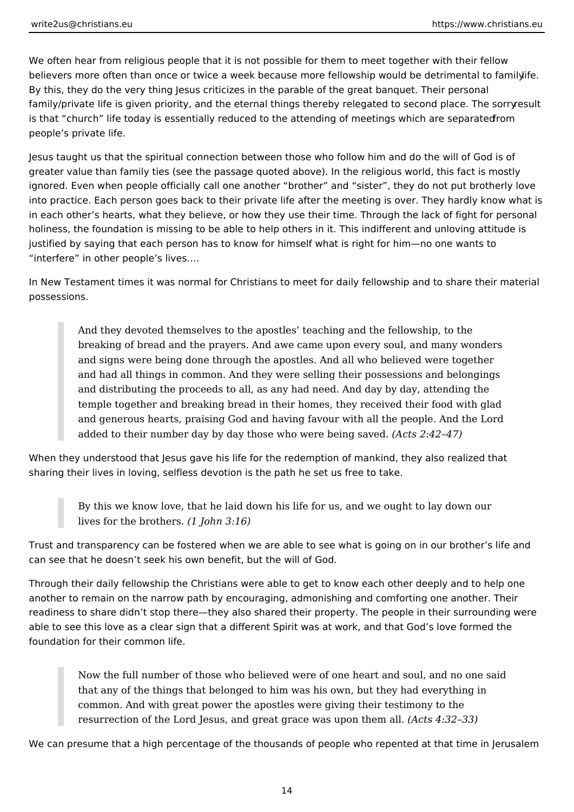We often hear from religious people that it is not possible for them to meet together with their fellow believers more often than once or twice a week because more fellowship would be detrimental to familylife. By this, they do the very thing Jesus criticizes in the parable of the great banquet. Their personal family/private life is given priority, and the eternal things thereby relegated to second place. The sorryresult is that "church" life today is essentially reduced to the attending of meetings which are separatedfrom people's private life.

Jesus taught us that the spiritual connection between those who follow him and do the will of God is of greater value than family ties (see the passage quoted above). In the religious world, this fact is mostly ignored. Even when people officially call one another "brother" and "sister", they do not put brotherly love into practice. Each person goes back to their private life after the meeting is over. They hardly know what is in each other's hearts, what they believe, or how they use their time. Through the lack of fight for personal holiness, the foundation is missing to be able to help others in it. This indifferent and unloving attitude is justified by saying that each person has to know for himself what is right for him—no one wants to "interfere" in other people's lives….

In New Testament times it was normal for Christians to meet for daily fellowship and to share their material possessions.

And they devoted themselves to the apostles' teaching and the fellowship, to the breaking of bread and the prayers. And awe came upon every soul, and many wonders and signs were being done through the apostles. And all who believed were together and had all things in common. And they were selling their possessions and belongings and distributing the proceeds to all, as any had need. And day by day, attending the temple together and breaking bread in their homes, they received their food with glad and generous hearts, praising God and having favour with all the people. And the Lord added to their number day by day those who were being saved. *(Acts 2:42–47)*

When they understood that Jesus gave his life for the redemption of mankind, they also realized that sharing their lives in loving, selfless devotion is the path he set us free to take.

By this we know love, that he laid down his life for us, and we ought to lay down our lives for the brothers. *(1 John 3:16)*

Trust and transparency can be fostered when we are able to see what is going on in our brother's life and can see that he doesn't seek his own benefit, but the will of God.

Through their daily fellowship the Christians were able to get to know each other deeply and to help one another to remain on the narrow path by encouraging, admonishing and comforting one another. Their readiness to share didn't stop there—they also shared their property. The people in their surrounding were able to see this love as a clear sign that a different Spirit was at work, and that God's love formed the foundation for their common life.

Now the full number of those who believed were of one heart and soul, and no one said that any of the things that belonged to him was his own, but they had everything in common. And with great power the apostles were giving their testimony to the resurrection of the Lord Jesus, and great grace was upon them all. *(Acts 4:32–33)*

We can presume that a high percentage of the thousands of people who repented at that time in Jerusalem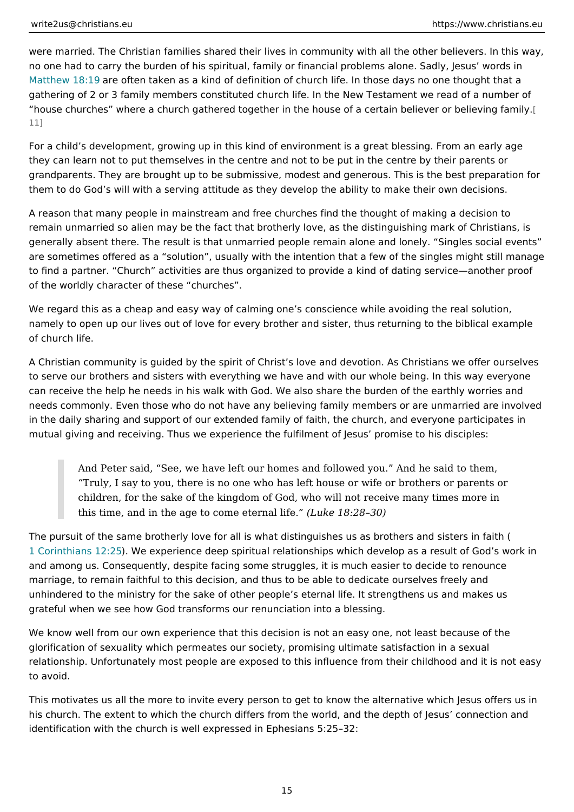were married. The Christian families shared their lives in community with all the no one had to carry the burden of his spiritual, family or financial problems alon Matthew 18 alr @ often taken as a kind of definition of church life. In those days no gathering of 2 or 3 family members constituted church life. In the New Testamen house churches where a church gathered together in the house of a cert[ain](#page-15-0) bel 11]

For a child s development, growing up in this kind of environment is a great bles they can learn not to put themselves in the centre and not to be put in the centr grandparents. They are brought up to be submissive, modest and generous. This them to do God s will with a serving attitude as they develop the ability to make

A reason that many people in mainstream and free churches find the thought of r remain unmarried so alien may be the fact that brotherly love, as the distinguish generally absent there. The result is that unmarried people remain alone and lor are sometimes offered as a solution, usually with the intention that a few of th to find a partner. Church activities are thus organized to provide a kind of dati of the worldly character of these churches .

We regard this as a cheap and easy way of calming one s conscience while avoid namely to open up our lives out of love for every brother and sister, thus returni of church life.

A Christian community is guided by the spirit of Christ s love and devotion. As C to serve our brothers and sisters with everything we have and with our whole be can receive the help he needs in his walk with God. We also share the burden of needs commonly. Even those who do not have any believing family members or a in the daily sharing and support of our extended family of faith, the church, and mutual giving and receiving. Thus we experience the fulfilment of Jesus promise

And Peter said, See, we have left our homes and followed you. And he Truly, I say to you, there is no one who has left house or wife or broth children, for the sake of the kingdom of God, who will not receive many this time, and in the age to come ( $\triangle$  tekrenal l8  $\angle$  28:30)

The pursuit of the same brotherly love for all is what distinguishes us as brothe 1 Corinthians )1.2W26 experience deep spiritual relationships which develop as a re and among us. Consequently, despite facing some struggles, it is much easier to marriage, to remain faithful to this decision, and thus to be able to dedicate our unhindered to the ministry for the sake of other people s eternal life. It strength grateful when we see how God transforms our renunciation into a blessing.

We know well from our own experience that this decision is not an easy one, not glorification of sexuality which permeates our society, promising ultimate satisfa relationship. Unfortunately most people are exposed to this influence from their to avoid.

This motivates us all the more to invite every person to get to know the alternat his church. The extent to which the church differs from the world, and the depth identification with the church is well expressed in Ephesians 5:25 32: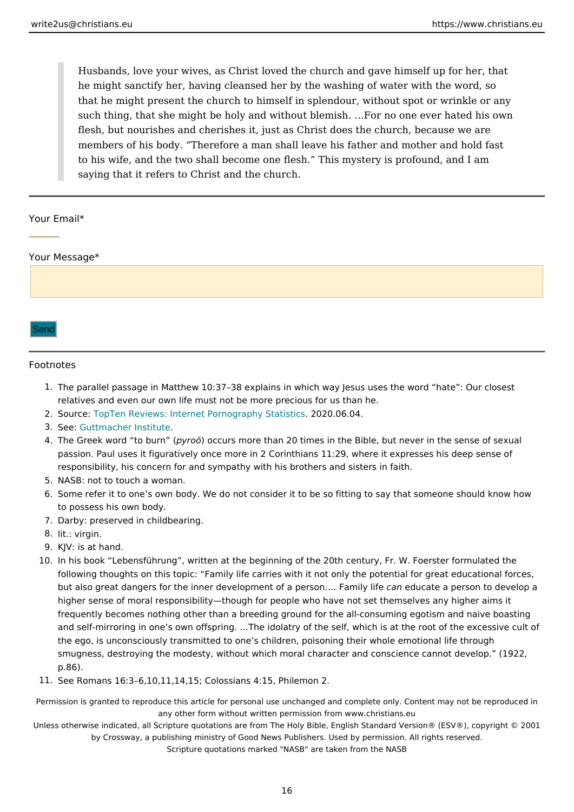<span id="page-15-0"></span>Husbands, love your wives, as Christ loved the church and gave himself he might sanctify her, having cleansed her by the washing of water with that he might present the church to himself in splendour, without spot o such thing, that she might be holy and without blemish. & For no one ever flesh, but nourishes and cherishes it, just as Christ does the church, be members of his body. Therefore a man shall leave his father and mothe to his wife, and the two shall become one flesh. This mystery is profou saying that it refers to Christ and the church.

#### Your Email\*

Your Message\*

Send

#### Footnotes

- 1. The parallel passage in Matthew 10:37 38 explains in which way Jesus uses the wo relatives and even our own life must not be more precious for us than he.
- 2. Source op Ten Reviews: Internet Pornograph0/2 8 t 0 6i. 0t 4 cs
- 3. SeeGuttmacher Institute
- 4. The Greek word to pbyur bo Mo (ccurs more than 20 times in the Bible, but never in the sense of  $\sim$  1. passion. Paul uses it figuratively once more in 2 Corinthians 11:29, where it expre responsibility, his concern for and sympathy with his brothers and sisters in faith.
- 5.NASB: not to touch a woman.
- 6. Some refer it to one s own body. We do not consider it to be so fitting to say that to possess his own body.
- 7.Darby: preserved in childbearing.
- 8.lit.: virgin.
- 9.KJV: is at hand.
- 10.In his book Lebensführung, written at the beginning of the 20th century, Fr. W. F following thoughts on this topic: Family life carries with it not only the potential f but also great dangers for the inner development of a comes double Family is bineto develo higher sense of moral responsibility though for people who have not set themselves frequently becomes nothing other than a breeding ground for the all-consuming ego and self-mirroring in one s own offspring. & The idolatry of the self, which is at the the ego, is unconsciously transmitted to one s children, poisoning their whole emot smugness, destroying the modesty, without which moral character and conscience c p.86).
- 11.See Romans 16:3 6,10,11,14,15; Colossians 4:15, Philemon 2.

Permission is granted to reproduce this article for personal use unchanged and complete only. Content may any other form without written permission from www.christians.eu

Unless otherwise indicated, all Scripture quotations are from The Holy Bible, English Standard Ve by Crossway, a publishing ministry of Good News Publishers. Used by permission. All r Scripture quotations marked "NASB" are taken from the NASB